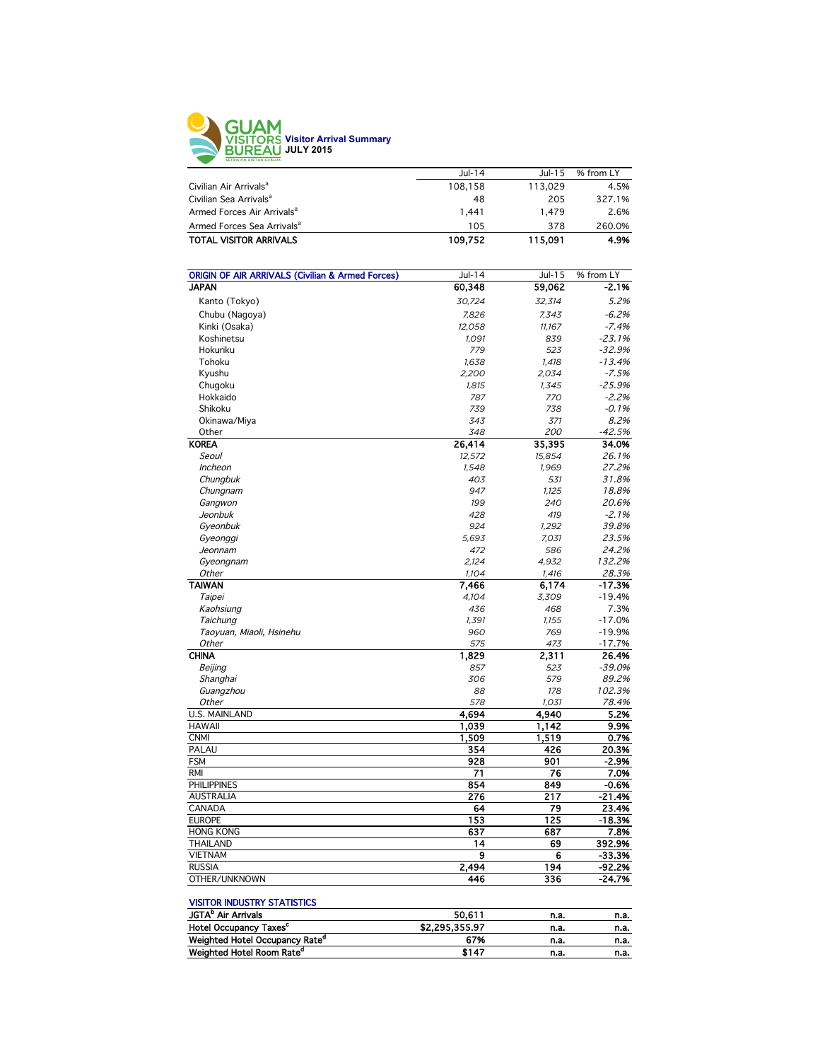

|                                        | $Jul-14$ | $Jul-15$ | % from LY |
|----------------------------------------|----------|----------|-----------|
| Civilian Air Arrivals <sup>a</sup>     | 108.158  | 113.029  | 4.5%      |
| Civilian Sea Arrivals <sup>a</sup>     | 48       | 205      | 327.1%    |
| Armed Forces Air Arrivals <sup>a</sup> | 1.441    | 1.479    | 2.6%      |
| Armed Forces Sea Arrivals <sup>a</sup> | 105      | 378      | 260.0%    |
| <b>TOTAL VISITOR ARRIVALS</b>          | 109.752  | 115.091  | 4.9%      |

| <b>ORIGIN OF AIR ARRIVALS (Civilian &amp; Armed Forces)</b> | Jul-14           | Jul-15          | % from LY |
|-------------------------------------------------------------|------------------|-----------------|-----------|
| <b>JAPAN</b>                                                | 60,348           | 59,062          | $-2.1%$   |
| Kanto (Tokyo)                                               | 30,724           | 32,314          | 5.2%      |
| Chubu (Nagoya)                                              | 7,826            | 7.343           | $-6.2%$   |
| Kinki (Osaka)                                               | 12,058           | 11,167          | $-7.4%$   |
| Koshinetsu                                                  | 1,091            | 839             | $-23.1%$  |
| Hokuriku                                                    | 779              | 523             | $-32.9%$  |
| Tohoku                                                      | 1,638            | 1,418           | $-13.4%$  |
| Kyushu                                                      | 2.200            | 2.034           | $-7.5%$   |
| Chugoku                                                     | 1,815            | 1,345           | $-25.9%$  |
| Hokkaido                                                    | 787              | 770             | $-2.2%$   |
| Shikoku                                                     | 739              | 738             | $-0.1%$   |
| Okinawa/Miya                                                | 343              | 371             | 8.2%      |
| Other                                                       | 348              | 200             | $-42.5%$  |
| <b>KOREA</b>                                                | 26,414           | 35,395          | 34.0%     |
| Seoul                                                       |                  |                 | 26.1%     |
| Incheon                                                     | 12,572<br>1,548  | 15,854<br>1,969 | 27.2%     |
|                                                             |                  |                 |           |
| Chungbuk                                                    | 403              | 531             | 31.8%     |
| Chungnam                                                    | 947              | 1,125           | 18.8%     |
| Gangwon                                                     | 199              | 240             | 20.6%     |
| Jeonbuk                                                     | 428              | 419             | $-2.1%$   |
| Gyeonbuk                                                    | 924              | 1,292           | 39.8%     |
| Gyeonggi                                                    | 5,693            | 7,031           | 23.5%     |
| Jeonnam                                                     | 472              | 586             | 24.2%     |
| Gyeongnam                                                   | 2.124            | 4,932           | 132.2%    |
| Other                                                       | 1.104            | 1.416           | 28.3%     |
| <b>TAIWAN</b>                                               | 7,466            | 6,174           | $-17.3%$  |
| <b>Taipei</b>                                               | 4,104            | 3,309           | $-19.4%$  |
| Kaohsiung                                                   | 436              | 468             | 7.3%      |
| Taichung                                                    | 1,391            | 1,155           | $-17.0%$  |
| Taoyuan, Miaoli, Hsinehu                                    | 960              | 769             | $-19.9%$  |
| <b>Other</b>                                                | 575              | 473             | $-17.7%$  |
| <b>CHINA</b>                                                | 1,829            | 2,311           | 26.4%     |
| Beijing                                                     | 857              | 523             | $-39.0%$  |
| Shanghai                                                    | 306              | 579             | 89.2%     |
| Guangzhou                                                   | 88               | 178             | 102.3%    |
| <b>Other</b>                                                | 578              | 1,031           | 78.4%     |
| <b>U.S. MAINLAND</b>                                        | 4,694            | 4,940           | 5.2%      |
| <b>HAWAII</b>                                               | 1,039            | 1,142           | 9.9%      |
| <b>CNMI</b>                                                 | 1,509            | 1,519           | 0.7%      |
| PALAU                                                       | 354              | 426             | 20.3%     |
| <b>FSM</b>                                                  | $\overline{928}$ | 901             | $-2.9%$   |
| <b>RMI</b>                                                  | 71               | 76              | 7.0%      |
| <b>PHILIPPINES</b>                                          | 854              | 849             | $-0.6%$   |
| <b>AUSTRALIA</b>                                            | 276              | 217             | $-21.4%$  |
| CANADA                                                      | 64               | 79              | 23.4%     |
| <b>EUROPE</b>                                               | 153              | 125             | $-18.3%$  |
| <b>HONG KONG</b>                                            | 637              | 687             | 7.8%      |
| <b>THAILAND</b>                                             | 14               | 69              | 392.9%    |
| <b>VIETNAM</b>                                              | 9                | 6               | $-33.3%$  |
| <b>RUSSIA</b>                                               | 2,494            | 194             | $-92.2%$  |
| OTHER/UNKNOWN                                               | 446              | 336             | $-24.7%$  |

## VISITOR INDUSTRY STATISTICS

| JGTA <sup>b</sup> Air Arrivals             | 50.611         | n.a. | n.a. |
|--------------------------------------------|----------------|------|------|
| Hotel Occupancy Taxes <sup>c</sup>         | \$2.295.355.97 | n.a. | n.a. |
| Weighted Hotel Occupancy Rate <sup>a</sup> | 67%            | n.a. | n.a. |
| Weighted Hotel Room Rate <sup>d</sup>      | \$147          | n.a. | n.a. |
|                                            |                |      |      |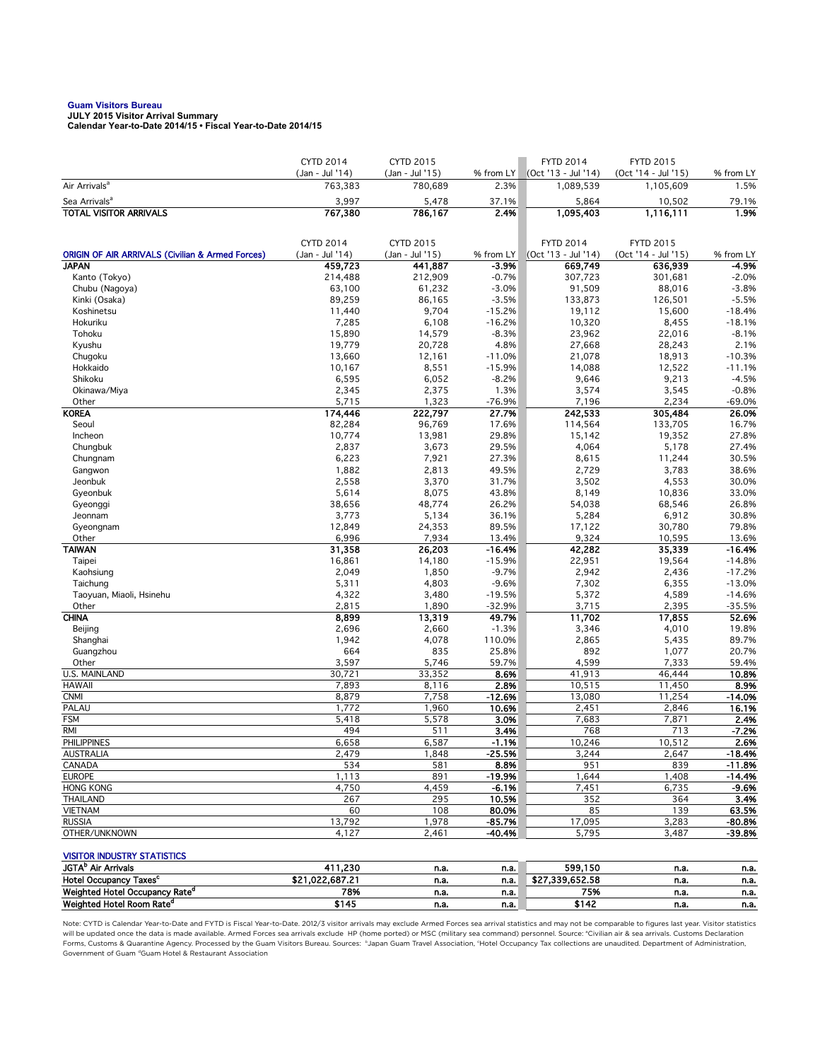## **Guam Visitors Bureau JULY 2015 Visitor Arrival Summary**

**Calendar Year-to-Date 2014/15 • Fiscal Year-to-Date 2014/15** 

|                                                                             | <b>CYTD 2014</b>           | CYTD 2015                  |                    | <b>FYTD 2014</b>                 | <b>FYTD 2015</b>                 |                    |
|-----------------------------------------------------------------------------|----------------------------|----------------------------|--------------------|----------------------------------|----------------------------------|--------------------|
| Air Arrivals <sup>a</sup>                                                   | (Jan - Jul '14)<br>763,383 | (Jan - Jul '15)<br>780,689 | % from LY<br>2.3%  | (Oct '13 - Jul '14)<br>1,089,539 | (Oct '14 - Jul '15)<br>1,105,609 | % from LY<br>1.5%  |
|                                                                             |                            |                            |                    |                                  |                                  |                    |
| Sea Arrivals <sup>a</sup><br><b>TOTAL VISITOR ARRIVALS</b>                  | 3,997<br>767,380           | 5,478<br>786,167           | 37.1%<br>2.4%      | 5,864<br>1,095,403               | 10,502<br>1,116,111              | 79.1%<br>1.9%      |
|                                                                             |                            |                            |                    |                                  |                                  |                    |
|                                                                             |                            |                            |                    |                                  |                                  |                    |
|                                                                             | <b>CYTD 2014</b>           | <b>CYTD 2015</b>           |                    | <b>FYTD 2014</b>                 | <b>FYTD 2015</b>                 |                    |
| <b>ORIGIN OF AIR ARRIVALS (Civilian &amp; Armed Forces)</b><br><b>JAPAN</b> | (Jan - Jul '14)<br>459,723 | (Jan - Jul '15)<br>441,887 | % from LY<br>-3.9% | (Oct '13 - Jul '14)<br>669,749   | (Oct '14 - Jul '15)<br>636,939   | % from LY<br>-4.9% |
| Kanto (Tokyo)                                                               | 214,488                    | 212,909                    | $-0.7%$            | 307,723                          | 301,681                          | $-2.0%$            |
| Chubu (Nagoya)                                                              | 63,100                     | 61,232                     | $-3.0%$            | 91,509                           | 88,016                           | $-3.8%$            |
| Kinki (Osaka)                                                               | 89,259                     | 86,165                     | $-3.5%$            | 133,873                          | 126,501                          | $-5.5%$            |
| Koshinetsu                                                                  | 11,440                     | 9,704                      | $-15.2%$           | 19,112                           | 15,600                           | $-18.4%$           |
| Hokuriku                                                                    | 7,285                      | 6,108                      | $-16.2%$           | 10,320                           | 8,455                            | $-18.1%$           |
| Tohoku                                                                      | 15,890                     | 14,579                     | $-8.3%$            | 23,962                           | 22,016                           | $-8.1%$            |
| Kyushu                                                                      | 19,779                     | 20,728                     | 4.8%               | 27,668                           | 28,243                           | 2.1%               |
| Chugoku                                                                     | 13,660                     | 12,161                     | $-11.0%$           | 21,078                           | 18,913                           | $-10.3%$           |
| Hokkaido                                                                    | 10,167                     | 8,551                      | $-15.9%$           | 14,088                           | 12,522                           | $-11.1%$           |
| Shikoku                                                                     | 6,595                      | 6,052                      | $-8.2%$            | 9,646                            | 9,213                            | $-4.5%$            |
| Okinawa/Miya                                                                | 2,345                      | 2,375                      | 1.3%               | 3,574                            | 3,545                            | $-0.8%$            |
| Other                                                                       | 5,715                      | 1,323                      | $-76.9%$           | 7,196                            | 2,234                            | $-69.0%$           |
| <b>KOREA</b>                                                                | 174,446                    | 222,797                    | 27.7%              | 242,533                          | 305,484                          | 26.0%              |
| Seoul                                                                       | 82,284                     | 96,769                     | 17.6%              | 114,564                          | 133,705                          | 16.7%              |
| Incheon                                                                     | 10,774                     | 13,981                     | 29.8%              | 15,142                           | 19,352                           | 27.8%              |
| Chungbuk                                                                    | 2,837                      | 3,673                      | 29.5%              | 4,064                            | 5,178                            | 27.4%              |
| Chungnam                                                                    | 6,223                      | 7,921                      | 27.3%<br>49.5%     | 8,615                            | 11,244                           | 30.5%              |
| Gangwon<br>Jeonbuk                                                          | 1,882<br>2,558             | 2,813<br>3,370             | 31.7%              | 2,729<br>3,502                   | 3,783<br>4,553                   | 38.6%<br>30.0%     |
| Gyeonbuk                                                                    | 5,614                      | 8,075                      | 43.8%              | 8,149                            | 10,836                           | 33.0%              |
| Gyeonggi                                                                    | 38,656                     | 48,774                     | 26.2%              | 54,038                           | 68,546                           | 26.8%              |
| Jeonnam                                                                     | 3,773                      | 5,134                      | 36.1%              | 5,284                            | 6,912                            | 30.8%              |
| Gyeongnam                                                                   | 12,849                     | 24,353                     | 89.5%              | 17,122                           | 30,780                           | 79.8%              |
| Other                                                                       | 6,996                      | 7,934                      | 13.4%              | 9,324                            | 10,595                           | 13.6%              |
| <b>TAIWAN</b>                                                               | 31,358                     | 26,203                     | $-16.4%$           | 42,282                           | 35,339                           | $-16.4%$           |
| Taipei                                                                      | 16,861                     | 14,180                     | $-15.9%$           | 22,951                           | 19,564                           | $-14.8%$           |
| Kaohsiung                                                                   | 2,049                      | 1,850                      | $-9.7%$            | 2,942                            | 2,436                            | $-17.2%$           |
| Taichung                                                                    | 5,311                      | 4,803                      | $-9.6%$            | 7,302                            | 6,355                            | $-13.0%$           |
| Taoyuan, Miaoli, Hsinehu                                                    | 4,322                      | 3,480                      | $-19.5%$           | 5,372                            | 4,589                            | $-14.6%$           |
| Other                                                                       | 2,815                      | 1,890                      | $-32.9%$           | 3,715                            | 2,395                            | $-35.5%$           |
| <b>CHINA</b>                                                                | 8,899                      | 13,319                     | 49.7%              | 11,702                           | 17,855                           | 52.6%              |
| Beijing                                                                     | 2,696                      | 2,660                      | $-1.3%$            | 3,346                            | 4,010                            | 19.8%              |
| Shanghai                                                                    | 1,942                      | 4,078                      | 110.0%             | 2,865                            | 5,435                            | 89.7%              |
| Guangzhou                                                                   | 664                        | 835                        | 25.8%              | 892                              | 1,077                            | 20.7%              |
| Other                                                                       | 3,597                      | 5,746                      | 59.7%              | 4,599                            | 7,333                            | 59.4%              |
| U.S. MAINLAND<br><b>HAWAII</b>                                              | 30,721                     | 33,352                     | 8.6%               | 41,913                           | 46,444                           | 10.8%              |
|                                                                             | 7,893                      | 8,116<br>7,758             | 2.8%<br>$-12.6%$   | 10,515<br>13,080                 | 11,450<br>11,254                 | 8.9%<br>$-14.0%$   |
| <b>CNMI</b><br>PALAU                                                        | 8,879<br>1,772             | 1,960                      | 10.6%              | 2,451                            | 2,846                            | 16.1%              |
| <b>FSM</b>                                                                  | 5,418                      | 5,578                      | 3.0%               | 7,683                            | 7,871                            | 2.4%               |
| RMI                                                                         | 494                        | 511                        | 3.4%               | 768                              | 713                              | $-7.2%$            |
| <b>PHILIPPINES</b>                                                          | 6,658                      | 6,587                      | $-1.1%$            | 10,246                           | 10,512                           | 2.6%               |
| <b>AUS I RALIA</b>                                                          | 2,479                      | 1,848                      | -25.5%             | 3,244                            | 2,647                            | -18.4%             |
| CANADA                                                                      | 534                        | 581                        | 8.8%               | 951                              | 839                              | $-11.8%$           |
| <b>EUROPE</b>                                                               | 1,113                      | 891                        | $-19.9%$           | 1,644                            | 1,408                            | $-14.4%$           |
| <b>HONG KONG</b>                                                            | 4,750                      | 4,459                      | $-6.1%$            | 7,451                            | 6,735                            | $-9.6%$            |
| <b>THAILAND</b>                                                             | 267                        | 295                        | 10.5%              | 352                              | 364                              | 3.4%               |
| <b>VIETNAM</b>                                                              | 60                         | 108                        | 80.0%              | 85                               | 139                              | 63.5%              |
| <b>RUSSIA</b>                                                               | 13,792                     | 1,978                      | $-85.7%$           | 17,095                           | 3,283                            | $-80.8%$           |
| OTHER/UNKNOWN                                                               | 4,127                      | 2,461                      | -40.4%             | 5,795                            | 3,487                            | $-39.8%$           |
| <b>VISITOR INDUSTRY STATISTICS</b>                                          |                            |                            |                    |                                  |                                  |                    |
| <b>JGTA<sup>b</sup></b> Air Arrivals                                        | 411,230                    | n.a.                       | n.a.               | 599,150                          | n.a.                             | n.a.               |
| Hotel Occupancy Taxes <sup>c</sup>                                          | \$21,022,687.21            | n.a.                       | n.a.               | \$27,339,652.58                  | n.a.                             | n.a.               |
| Weighted Hotel Occupancy Rate <sup>d</sup>                                  | 78%                        | n.a.                       | n.a.               | 75%                              | n.a.                             | n.a.               |
| Weighted Hotel Room Rate <sup>d</sup>                                       | \$145                      | n.a.                       | n.a.               | \$142                            | n.a.                             | n.a.               |

Note: CYTD is Calendar Year-to-Date and FYTD is Fiscal Year-to-Date. 2012/3 visitor arrivals may exclude Armed Forces sea arrival statistics and may not be comparable to figures last year. Visitor statistics will be updated once the data is made available. Armed Forces sea arrivals exclude HP (home ported) or MSC (military sea command) personnel. Source: °Civilian air & sea arrivals. Customs Declaration<br>Forms, Customs & Quaran Government of Guam dGuam Hotel & Restaurant Association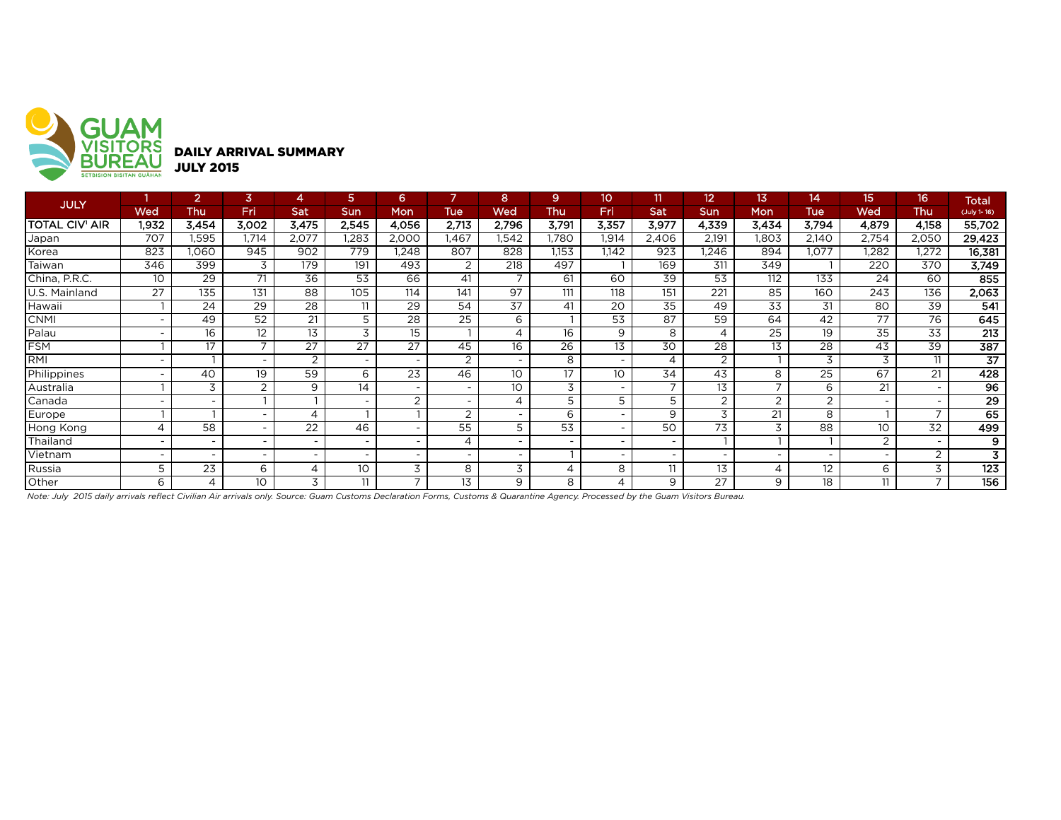

| <b>JULY</b>    |                          | 2                        | 3                        |                | 5                        | 6.                       |       | 8                        | 9                        | 10 <sup>°</sup>          | 11                       | 12                       | 13                       | 14                       | 15             | 16                       | <b>Total</b>    |
|----------------|--------------------------|--------------------------|--------------------------|----------------|--------------------------|--------------------------|-------|--------------------------|--------------------------|--------------------------|--------------------------|--------------------------|--------------------------|--------------------------|----------------|--------------------------|-----------------|
|                | Wed                      | Thu                      | Fri                      | Sat            | Sun                      | Mon                      | Tue   | Wed                      | Thu                      | Fri                      | Sat                      | Sun                      | Mon                      | Tue                      | Wed            | Thu                      | (July 1-16)     |
| TOTAL CIV' AIR | 1.932                    | 3,454                    | 3,002                    | 3,475          | 2,545                    | 4,056                    | 2.713 | 2.796                    | 3,791                    | 3,357                    | 3,977                    | 4,339                    | 3,434                    | 3,794                    | 4,879          | 4,158                    | 55,702          |
| Japan          | 707                      | 1,595                    | 1,714                    | 2,077          | 1,283                    | 2,000                    | 1,467 | .542                     | ,780                     | 1,914                    | 2,406                    | 2,191                    | 1,803                    | 2,140                    | 2,754          | 2,050                    | 29,423          |
| Korea          | 823                      | .060                     | 945                      | 902            | 779                      | 1,248                    | 807   | 828                      | 1.153                    | 1.142                    | 923                      | .246                     | 894                      | 1.077                    | 1,282          | 1,272                    | 16,381          |
| Taiwan         | 346                      | 399                      | 3                        | 179            | 191                      | 493                      |       | 218                      | 497                      |                          | 169                      | 311                      | 349                      |                          | 220            | 370                      | 3,749           |
| China, P.R.C.  | 10                       | 29                       | 71                       | 36             | 53                       | 66                       | 41    |                          | 61                       | 60                       | 39                       | 53                       | 112                      | 133                      | 24             | 60                       | 855             |
| U.S. Mainland  | 27                       | 135                      | 131                      | 88             | 105                      | 114                      | 141   | 97                       | 111                      | 118                      | 151                      | 221                      | 85                       | 160                      | 243            | 136                      | 2,063           |
| Hawaii         |                          | 24                       | 29                       | 28             | 11                       | 29                       | 54    | 37                       | 41                       | 20                       | 35                       | 49                       | 33                       | 31                       | 80             | 39                       | 541             |
| <b>CNMI</b>    | $\overline{\phantom{0}}$ | 49                       | 52                       | 21             | 5                        | 28                       | 25    | 6                        |                          | 53                       | 87                       | 59                       | 64                       | 42                       | 77             | 76                       | 645             |
| Palau          | $\overline{\phantom{0}}$ | 16                       | 12                       | 13             | 3                        | 15                       |       | $\Delta$                 | 16                       | 9                        | 8                        | 4                        | 25                       | 19                       | 35             | 33                       | 213             |
| <b>FSM</b>     |                          | 17                       |                          | 27             | $\overline{27}$          | 27                       | 45    | 16                       | $\overline{26}$          | 13                       | 30                       | 28                       | 13                       | 28                       | 43             | 39                       | 387             |
| RMI            | $\overline{\phantom{a}}$ |                          | $\overline{\phantom{0}}$ | $\overline{2}$ | $\overline{\phantom{0}}$ | ٠                        | 2     | $\overline{\phantom{a}}$ | 8                        | $\overline{\phantom{0}}$ | 4                        | 2                        |                          | 3                        | 3              | 11                       | $\overline{37}$ |
| Philippines    |                          | 40                       | 19                       | 59             | 6                        | 23                       | 46    | 10                       | 17                       | 10 <sup>°</sup>          | 34                       | 43                       | 8                        | 25                       | 67             | 21                       | 428             |
| Australia      |                          | 3                        | 2                        | 9              | 14                       | $\overline{\phantom{0}}$ |       | 10                       | 3                        | $\overline{\phantom{0}}$ | $\overline{\phantom{0}}$ | 13                       | $\overline{ }$           | 6                        | 21             | $\overline{\phantom{0}}$ | 96              |
| Canada         | $\overline{\phantom{0}}$ | $\overline{\phantom{0}}$ |                          |                |                          | 2                        |       | $\overline{\mathcal{A}}$ | 5                        | 5                        | 5                        | 2                        | 2                        | $\overline{2}$           |                | $\overline{\phantom{0}}$ | 29              |
| Europe         |                          |                          | $\overline{\phantom{0}}$ | 4              |                          |                          | 2     | $\overline{\phantom{a}}$ | 6                        |                          | 9                        | 3                        | 21                       | 8                        |                |                          | 65              |
| Hong Kong      | $\overline{4}$           | 58                       |                          | 22             | 46                       |                          | 55    | 5                        | 53                       |                          | 50                       | $7\overline{3}$          | 3                        | 88                       | 10             | 32                       | 499             |
| Thailand       | $\overline{\phantom{a}}$ | $\overline{\phantom{a}}$ | $\overline{\phantom{0}}$ |                |                          | $\overline{\phantom{0}}$ | 4     | $\overline{\phantom{a}}$ | $\overline{\phantom{0}}$ |                          | $\overline{\phantom{0}}$ |                          |                          |                          | $\overline{2}$ | $\overline{\phantom{0}}$ | 9               |
| Vietnam        | $\overline{a}$           | $\overline{\phantom{0}}$ | $\overline{\phantom{0}}$ |                |                          | $\overline{\phantom{0}}$ |       |                          |                          |                          | $\overline{\phantom{0}}$ | $\overline{\phantom{0}}$ | $\overline{\phantom{0}}$ | $\overline{\phantom{0}}$ |                | $\overline{2}$           | 3               |
| Russia         | 5                        | 23                       | 6                        | 4              | 10 <sup>°</sup>          | 3                        | 8     | 3                        | 4                        | 8                        | 11                       | 13                       | $\overline{4}$           | 12                       | 6              | 3                        | 123             |
| Other          | 6                        | 4                        | 10                       | 3              | 11                       | $\overline{\phantom{0}}$ | 13    | 9                        | 8                        | 4                        | 9                        | 27                       | 9                        | 18                       | 11             | $\overline{ }$           | 156             |

*Note: July 2015 daily arrivals reflect Civilian Air arrivals only. Source: Guam Customs Declaration Forms, Customs & Quarantine Agency. Processed by the Guam Visitors Bureau.*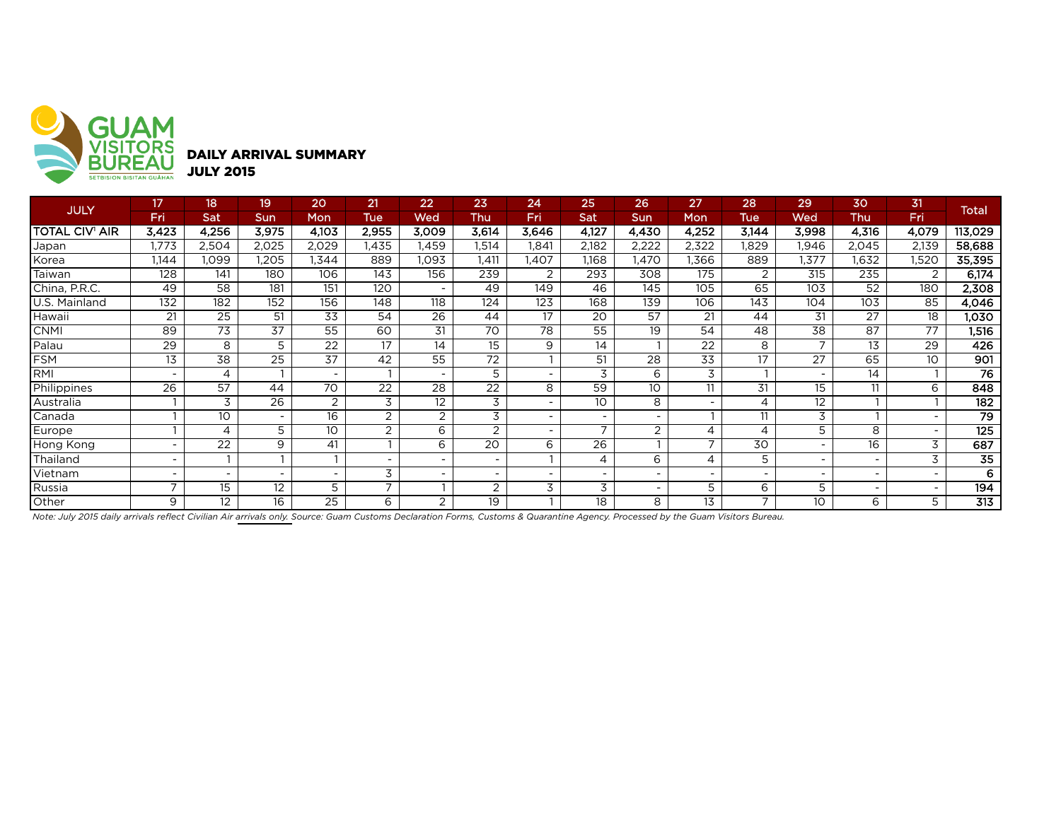

| <b>JULY</b>    | 17                       | 18                | 19     | 20                       | 21             | 22             | 23              | 24                       | 25                       | 26                       | 27                       | 28             | 29              | 30    | 31                       | <b>Total</b>     |
|----------------|--------------------------|-------------------|--------|--------------------------|----------------|----------------|-----------------|--------------------------|--------------------------|--------------------------|--------------------------|----------------|-----------------|-------|--------------------------|------------------|
|                | Fri                      | Sat               | Sun    | Mon                      | Tue            | Wed            | Thu             | Fri                      | Sat                      | <b>Sun</b>               | Mon                      | <b>Tue</b>     | Wed             | Thu   | Fri                      |                  |
| TOTAL CIV' AIR | 3.423                    | 4.256             | 3.975  | 4,103                    | 2,955          | 3,009          | 3,614           | 3.646                    | 4,127                    | 4,430                    | 4.252                    | 3,144          | 3,998           | 4.316 | 4,079                    | 113,029          |
| Japan          | 1,773                    | 2,504             | 2,025  | 2,029                    | 1,435          | l.459          | 1,514           | l.841                    | 2,182                    | 2,222                    | 2,322                    | .829           | 1,946           | 2,045 | 2,139                    | 58,688           |
| Korea          | 1,144                    | ,099              | .205   | .344                     | 889            | 1,093          | 1,411           | 1,407                    | 1,168                    | l,470                    | .366                     | 889            | 1,377           | 1,632 | 1,520                    | 35,395           |
| Taiwan         | 128                      | 141               | 180    | 106                      | 143            | 156            | 239             | $\overline{2}$           | 293                      | 308                      | 175                      | 2              | 315             | 235   | $\overline{2}$           | 6,174            |
| China, P.R.C.  | 49                       | 58                | 181    | 151                      | 120            |                | 49              | 149                      | 46                       | 145                      | 105                      | 65             | 103             | 52    | 180                      | 2,308            |
| U.S. Mainland  | 132                      | 182               | 152    | 156                      | 148            | 118            | 124             | 123                      | 168                      | 139                      | 106                      | 143            | 104             | 103   | 85                       | 4,046            |
| Hawaii         | 21                       | 25                | 51     | 33                       | 54             | 26             | 44              | 17                       | 20                       | 57                       | 21                       | 44             | 31              | 27    | 18                       | 1,030            |
| <b>CNMI</b>    | 89                       | 73                | 37     | 55                       | 60             | 31             | 70              | 78                       | 55                       | 19                       | 54                       | 48             | 38              | 87    | 77                       | 1,516            |
| Palau          | 29                       | 8                 | 5      | 22                       | 17             | 14             | 15              | 9                        | 14                       |                          | 22                       | 8              |                 | 13    | 29                       | 426              |
| <b>FSM</b>     | 13                       | 38                | 25     | 37                       | 42             | 55             | $7\overline{2}$ |                          | 51                       | 28                       | $\overline{33}$          | 17             | $\overline{27}$ | 65    | 10                       | 901              |
| RMI            |                          | 4                 |        | $\overline{\phantom{a}}$ |                |                | 5.              | $\overline{\phantom{a}}$ | 3                        | 6                        | 3                        |                |                 | 14    |                          | $\overline{76}$  |
| Philippines    | 26                       | 57                | 44     | 70                       | 22             | 28             | 22              | 8                        | 59                       | 10                       | 11                       | 31             | 15              | 11    | 6                        | 848              |
| Australia      |                          | 3                 | 26     | $\overline{2}$           | 3              | 12             | 3               | $\overline{\phantom{a}}$ | 10                       | 8                        | $\overline{\phantom{a}}$ | 4              | 12              |       |                          | 182              |
| Canada         |                          | 10                | $\sim$ | 16                       | 2              | 2              | 3               | $\overline{\phantom{0}}$ | $\overline{\phantom{a}}$ | $\overline{\phantom{a}}$ |                          | 11             | 3               |       | ۰.                       | $\overline{79}$  |
| Europe         |                          | 4                 | 5      | 10                       | 2              | 6              | $\overline{2}$  | $\overline{\phantom{a}}$ | $\overline{\phantom{0}}$ | $\overline{2}$           | 4                        | 4              | 5               | 8     | $\overline{\phantom{a}}$ | 125              |
| Hong Kong      |                          | 22                | 9      | 41                       |                | 6              | 20              | 6                        | 26                       |                          | $\overline{ }$           | 30             |                 | 16    | 3                        | 687              |
| Thailand       |                          |                   |        |                          |                |                |                 |                          | 4                        | 6                        | 4                        | 5              |                 |       | 3                        | 35               |
| Vietnam        |                          |                   |        | $\overline{\phantom{a}}$ | 3              |                |                 |                          |                          |                          |                          |                |                 |       |                          | 6                |
| Russia         | $\overline{\phantom{a}}$ | 15 <sup>15</sup>  | 12     | 5                        | $\overline{ }$ |                | 2               | 3                        | 3                        | -                        | 5                        | 6              | 5               |       |                          | 194              |
| Other          | 9                        | $12 \overline{ }$ | 16     | $\overline{25}$          | 6              | $\overline{2}$ | 19              |                          | 18                       | 8                        | $\overline{13}$          | $\overline{ }$ | 10              | 6     | 5                        | $\overline{313}$ |

*Note: July 2015 daily arrivals reflect Civilian Air arrivals only. Source: Guam Customs Declaration Forms, Customs & Quarantine Agency. Processed by the Guam Visitors Bureau.*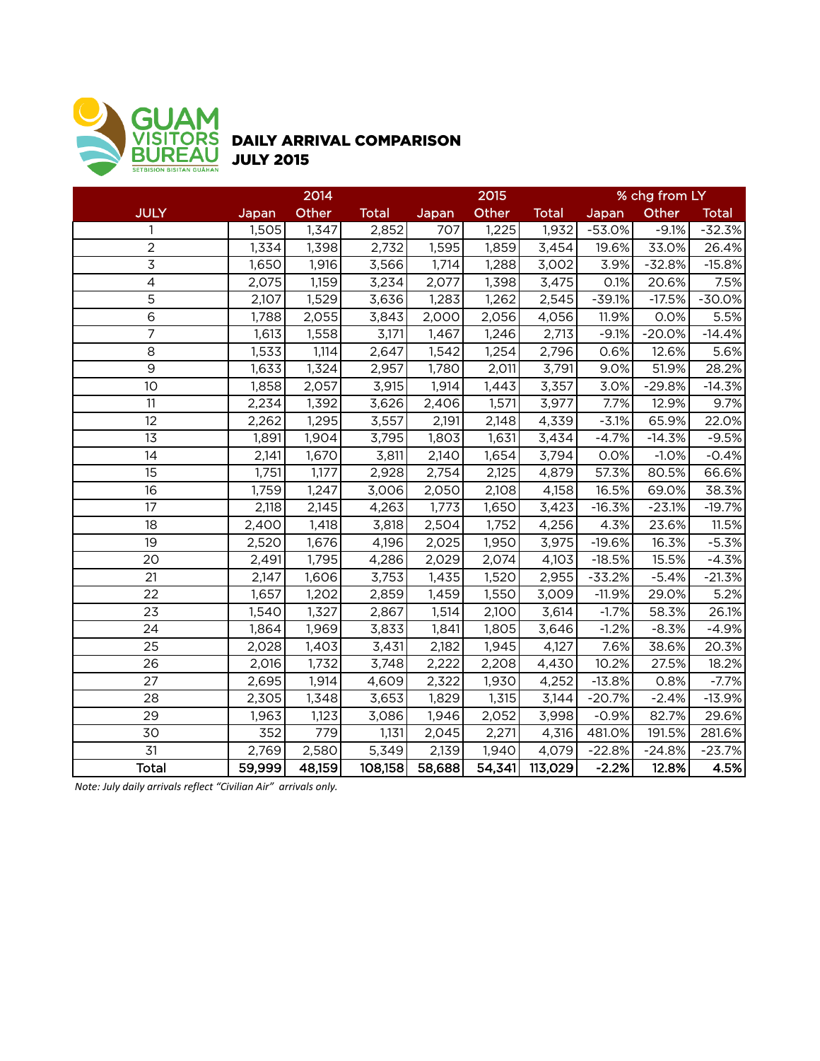

## DAILY ARRIVAL COMPARISON JULY 2015

|                          |        | 2014               |              |        | 2015   |              | % chg from LY |          |              |  |
|--------------------------|--------|--------------------|--------------|--------|--------|--------------|---------------|----------|--------------|--|
| <b>JULY</b>              | Japan  | Other              | <b>Total</b> | Japan  | Other  | <b>Total</b> | Japan         | Other    | <b>Total</b> |  |
| 1                        | 1,505  | $\overline{1,}347$ | 2,852        | 707    | 1,225  | 1,932        | $-53.0%$      | $-9.1%$  | $-32.3%$     |  |
| $\overline{2}$           | 1,334  | 1,398              | 2,732        | 1,595  | 1,859  | 3,454        | 19.6%         | 33.0%    | 26.4%        |  |
| $\overline{3}$           | 1,650  | 1,916              | 3,566        | 1,714  | 1,288  | 3,002        | 3.9%          | $-32.8%$ | $-15.8%$     |  |
| $\overline{\mathcal{A}}$ | 2,075  | 1,159              | 3,234        | 2,077  | 1,398  | 3,475        | O.1%          | 20.6%    | 7.5%         |  |
| $\overline{5}$           | 2,107  | 1,529              | 3,636        | 1,283  | 1,262  | 2,545        | $-39.1%$      | $-17.5%$ | $-30.0%$     |  |
| $\,$ 6                   | 1,788  | 2,055              | 3,843        | 2,000  | 2,056  | 4,056        | 11.9%         | 0.0%     | 5.5%         |  |
| $\overline{7}$           | 1,613  | 1,558              | 3,171        | 1,467  | 1,246  | 2,713        | $-9.1%$       | $-20.0%$ | $-14.4%$     |  |
| 8                        | 1,533  | 1,114              | 2,647        | 1,542  | 1,254  | 2,796        | 0.6%          | 12.6%    | 5.6%         |  |
| 9                        | 1,633  | 1,324              | 2,957        | 1,780  | 2,011  | 3,791        | 9.0%          | 51.9%    | 28.2%        |  |
| 10                       | 1,858  | 2,057              | 3,915        | 1,914  | 1,443  | 3,357        | 3.0%          | $-29.8%$ | $-14.3%$     |  |
| 11                       | 2,234  | 1,392              | 3,626        | 2,406  | 1,571  | 3,977        | 7.7%          | 12.9%    | 9.7%         |  |
| 12                       | 2,262  | 1,295              | 3,557        | 2,191  | 2,148  | 4,339        | $-3.1%$       | 65.9%    | 22.0%        |  |
| 13                       | 1,891  | 1,904              | 3,795        | 1,803  | 1,631  | 3,434        | $-4.7%$       | $-14.3%$ | $-9.5%$      |  |
| 14                       | 2,141  | 1,670              | 3,811        | 2,140  | 1,654  | 3,794        | 0.0%          | $-1.0%$  | $-0.4%$      |  |
| 15                       | 1,751  | 1,177              | 2,928        | 2,754  | 2,125  | 4,879        | 57.3%         | 80.5%    | 66.6%        |  |
| 16                       | 1,759  | 1,247              | 3,006        | 2,050  | 2,108  | 4,158        | 16.5%         | 69.0%    | 38.3%        |  |
| 17                       | 2,118  | 2,145              | 4,263        | 1,773  | 1,650  | 3,423        | $-16.3%$      | $-23.1%$ | $-19.7%$     |  |
| 18                       | 2,400  | 1,418              | 3,818        | 2,504  | 1,752  | 4,256        | 4.3%          | 23.6%    | 11.5%        |  |
| 19                       | 2,520  | 1,676              | 4,196        | 2,025  | 1,950  | 3,975        | $-19.6%$      | 16.3%    | $-5.3%$      |  |
| 20                       | 2,491  | 1,795              | 4,286        | 2,029  | 2,074  | 4,103        | $-18.5%$      | 15.5%    | $-4.3%$      |  |
| 21                       | 2,147  | 1,606              | 3,753        | 1,435  | 1,520  | 2,955        | $-33.2%$      | $-5.4%$  | $-21.3%$     |  |
| 22                       | 1,657  | 1,202              | 2,859        | 1,459  | 1,550  | 3,009        | $-11.9%$      | 29.0%    | 5.2%         |  |
| 23                       | 1,540  | 1,327              | 2,867        | 1,514  | 2,100  | 3,614        | $-1.7%$       | 58.3%    | 26.1%        |  |
| 24                       | 1,864  | 1,969              | 3,833        | 1,841  | 1,805  | 3,646        | $-1.2%$       | $-8.3%$  | $-4.9%$      |  |
| 25                       | 2,028  | 1,403              | 3,431        | 2,182  | 1,945  | 4,127        | 7.6%          | 38.6%    | 20.3%        |  |
| 26                       | 2,016  | 1,732              | 3,748        | 2,222  | 2,208  | 4,430        | 10.2%         | 27.5%    | 18.2%        |  |
| 27                       | 2,695  | 1,914              | 4,609        | 2,322  | 1,930  | 4,252        | $-13.8%$      | 0.8%     | $-7.7%$      |  |
| 28                       | 2,305  | 1,348              | 3,653        | 1,829  | 1,315  | 3,144        | $-20.7%$      | $-2.4%$  | $-13.9%$     |  |
| 29                       | 1,963  | 1,123              | 3,086        | 1,946  | 2,052  | 3,998        | $-0.9%$       | 82.7%    | 29.6%        |  |
| 30                       | 352    | 779                | 1,131        | 2,045  | 2,271  | 4,316        | 481.0%        | 191.5%   | 281.6%       |  |
| 31                       | 2,769  | 2,580              | 5,349        | 2,139  | 1,940  | 4,079        | $-22.8%$      | $-24.8%$ | $-23.7%$     |  |
| <b>Total</b>             | 59,999 | 48,159             | 108,158      | 58,688 | 54,341 | 113,029      | $-2.2%$       | 12.8%    | 4.5%         |  |

*Note: July daily arrivals reflect "Civilian Air" arrivals only.*